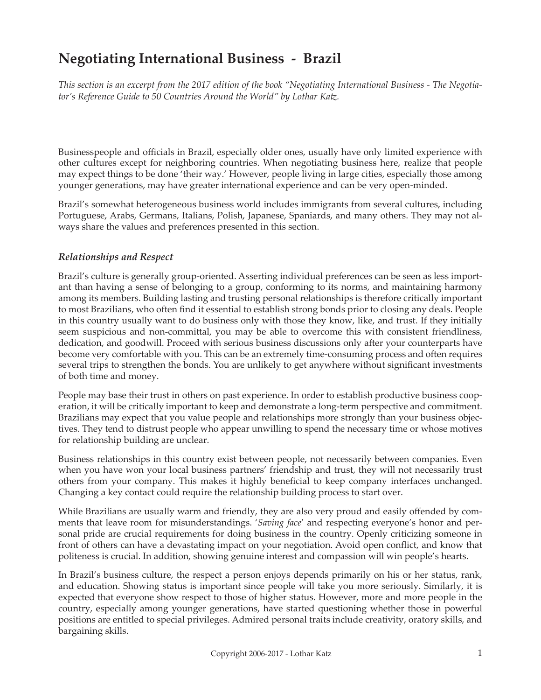# **Negotiating International Business - Brazil**

*This section is an excerpt from the 2017 edition of the book "Negotiating International Business - The Negotiator's Reference Guide to 50 Countries Around the World" by Lothar Katz.*

Businesspeople and officials in Brazil, especially older ones, usually have only limited experience with other cultures except for neighboring countries. When negotiating business here, realize that people may expect things to be done 'their way.' However, people living in large cities, especially those among younger generations, may have greater international experience and can be very open-minded.

Brazil's somewhat heterogeneous business world includes immigrants from several cultures, including Portuguese, Arabs, Germans, Italians, Polish, Japanese, Spaniards, and many others. They may not always share the values and preferences presented in this section.

#### *Relationships and Respect*

Brazil's culture is generally group-oriented. Asserting individual preferences can be seen as less important than having a sense of belonging to a group, conforming to its norms, and maintaining harmony among its members. Building lasting and trusting personal relationships is therefore critically important to most Brazilians, who often find it essential to establish strong bonds prior to closing any deals. People in this country usually want to do business only with those they know, like, and trust. If they initially seem suspicious and non-committal, you may be able to overcome this with consistent friendliness, dedication, and goodwill. Proceed with serious business discussions only after your counterparts have become very comfortable with you. This can be an extremely time-consuming process and often requires several trips to strengthen the bonds. You are unlikely to get anywhere without significant investments of both time and money.

People may base their trust in others on past experience. In order to establish productive business cooperation, it will be critically important to keep and demonstrate a long-term perspective and commitment. Brazilians may expect that you value people and relationships more strongly than your business objectives. They tend to distrust people who appear unwilling to spend the necessary time or whose motives for relationship building are unclear.

Business relationships in this country exist between people, not necessarily between companies. Even when you have won your local business partners' friendship and trust, they will not necessarily trust others from your company. This makes it highly beneficial to keep company interfaces unchanged. Changing a key contact could require the relationship building process to start over.

While Brazilians are usually warm and friendly, they are also very proud and easily offended by comments that leave room for misunderstandings. '*Saving face*' and respecting everyone's honor and personal pride are crucial requirements for doing business in the country. Openly criticizing someone in front of others can have a devastating impact on your negotiation. Avoid open conflict, and know that politeness is crucial. In addition, showing genuine interest and compassion will win people's hearts.

In Brazil's business culture, the respect a person enjoys depends primarily on his or her status, rank, and education. Showing status is important since people will take you more seriously. Similarly, it is expected that everyone show respect to those of higher status. However, more and more people in the country, especially among younger generations, have started questioning whether those in powerful positions are entitled to special privileges. Admired personal traits include creativity, oratory skills, and bargaining skills.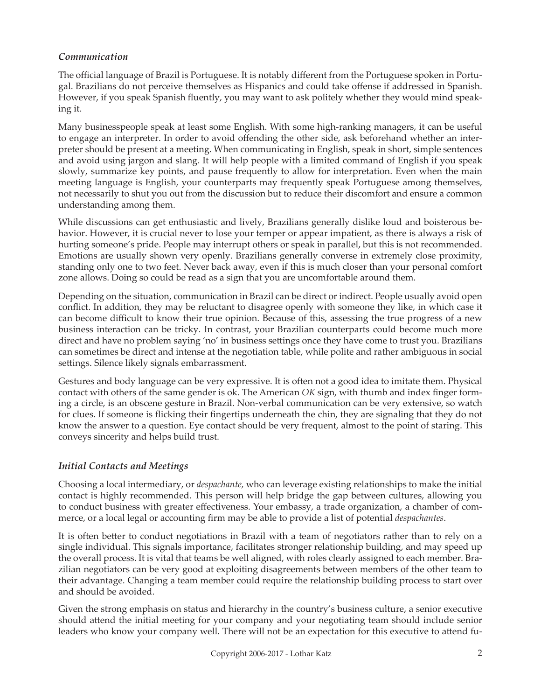### *Communication*

The official language of Brazil is Portuguese. It is notably different from the Portuguese spoken in Portugal. Brazilians do not perceive themselves as Hispanics and could take offense if addressed in Spanish. However, if you speak Spanish fluently, you may want to ask politely whether they would mind speaking it.

Many businesspeople speak at least some English. With some high-ranking managers, it can be useful to engage an interpreter. In order to avoid offending the other side, ask beforehand whether an interpreter should be present at a meeting. When communicating in English, speak in short, simple sentences and avoid using jargon and slang. It will help people with a limited command of English if you speak slowly, summarize key points, and pause frequently to allow for interpretation. Even when the main meeting language is English, your counterparts may frequently speak Portuguese among themselves, not necessarily to shut you out from the discussion but to reduce their discomfort and ensure a common understanding among them.

While discussions can get enthusiastic and lively, Brazilians generally dislike loud and boisterous behavior. However, it is crucial never to lose your temper or appear impatient, as there is always a risk of hurting someone's pride. People may interrupt others or speak in parallel, but this is not recommended. Emotions are usually shown very openly. Brazilians generally converse in extremely close proximity, standing only one to two feet. Never back away, even if this is much closer than your personal comfort zone allows. Doing so could be read as a sign that you are uncomfortable around them.

Depending on the situation, communication in Brazil can be direct or indirect. People usually avoid open conflict. In addition, they may be reluctant to disagree openly with someone they like, in which case it can become difficult to know their true opinion. Because of this, assessing the true progress of a new business interaction can be tricky. In contrast, your Brazilian counterparts could become much more direct and have no problem saying 'no' in business settings once they have come to trust you. Brazilians can sometimes be direct and intense at the negotiation table, while polite and rather ambiguous in social settings. Silence likely signals embarrassment.

Gestures and body language can be very expressive. It is often not a good idea to imitate them. Physical contact with others of the same gender is ok. The American *OK* sign, with thumb and index finger forming a circle, is an obscene gesture in Brazil. Non-verbal communication can be very extensive, so watch for clues. If someone is flicking their fingertips underneath the chin, they are signaling that they do not know the answer to a question. Eye contact should be very frequent, almost to the point of staring. This conveys sincerity and helps build trust.

## *Initial Contacts and Meetings*

Choosing a local intermediary, or *despachante,* who can leverage existing relationships to make the initial contact is highly recommended. This person will help bridge the gap between cultures, allowing you to conduct business with greater effectiveness. Your embassy, a trade organization, a chamber of commerce, or a local legal or accounting firm may be able to provide a list of potential *despachantes*.

It is often better to conduct negotiations in Brazil with a team of negotiators rather than to rely on a single individual. This signals importance, facilitates stronger relationship building, and may speed up the overall process. It is vital that teams be well aligned, with roles clearly assigned to each member. Brazilian negotiators can be very good at exploiting disagreements between members of the other team to their advantage. Changing a team member could require the relationship building process to start over and should be avoided.

Given the strong emphasis on status and hierarchy in the country's business culture, a senior executive should attend the initial meeting for your company and your negotiating team should include senior leaders who know your company well. There will not be an expectation for this executive to attend fu-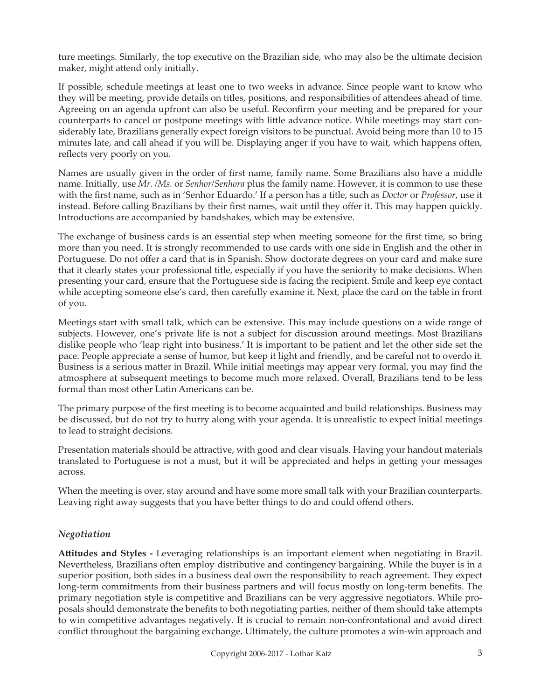ture meetings. Similarly, the top executive on the Brazilian side, who may also be the ultimate decision maker, might attend only initially.

If possible, schedule meetings at least one to two weeks in advance. Since people want to know who they will be meeting, provide details on titles, positions, and responsibilities of attendees ahead of time. Agreeing on an agenda upfront can also be useful. Reconfirm your meeting and be prepared for your counterparts to cancel or postpone meetings with little advance notice. While meetings may start considerably late, Brazilians generally expect foreign visitors to be punctual. Avoid being more than 10 to 15 minutes late, and call ahead if you will be. Displaying anger if you have to wait, which happens often, reflects very poorly on you.

Names are usually given in the order of first name, family name. Some Brazilians also have a middle name. Initially, use *Mr. /Ms.* or *Senhor/Senhora* plus the family name. However, it is common to use these with the first name, such as in 'Senhor Eduardo.' If a person has a title, such as *Doctor* or *Professor*, use it instead. Before calling Brazilians by their first names, wait until they offer it. This may happen quickly. Introductions are accompanied by handshakes, which may be extensive.

The exchange of business cards is an essential step when meeting someone for the first time, so bring more than you need. It is strongly recommended to use cards with one side in English and the other in Portuguese. Do not offer a card that is in Spanish. Show doctorate degrees on your card and make sure that it clearly states your professional title, especially if you have the seniority to make decisions. When presenting your card, ensure that the Portuguese side is facing the recipient. Smile and keep eye contact while accepting someone else's card, then carefully examine it. Next, place the card on the table in front of you.

Meetings start with small talk, which can be extensive. This may include questions on a wide range of subjects. However, one's private life is not a subject for discussion around meetings. Most Brazilians dislike people who 'leap right into business.' It is important to be patient and let the other side set the pace. People appreciate a sense of humor, but keep it light and friendly, and be careful not to overdo it. Business is a serious matter in Brazil. While initial meetings may appear very formal, you may find the atmosphere at subsequent meetings to become much more relaxed. Overall, Brazilians tend to be less formal than most other Latin Americans can be.

The primary purpose of the first meeting is to become acquainted and build relationships. Business may be discussed, but do not try to hurry along with your agenda. It is unrealistic to expect initial meetings to lead to straight decisions.

Presentation materials should be attractive, with good and clear visuals. Having your handout materials translated to Portuguese is not a must, but it will be appreciated and helps in getting your messages across.

When the meeting is over, stay around and have some more small talk with your Brazilian counterparts. Leaving right away suggests that you have better things to do and could offend others.

#### *Negotiation*

**Attitudes and Styles -** Leveraging relationships is an important element when negotiating in Brazil. Nevertheless, Brazilians often employ distributive and contingency bargaining. While the buyer is in a superior position, both sides in a business deal own the responsibility to reach agreement. They expect long-term commitments from their business partners and will focus mostly on long-term benefits. The primary negotiation style is competitive and Brazilians can be very aggressive negotiators. While proposals should demonstrate the benefits to both negotiating parties, neither of them should take attempts to win competitive advantages negatively. It is crucial to remain non-confrontational and avoid direct conflict throughout the bargaining exchange. Ultimately, the culture promotes a win-win approach and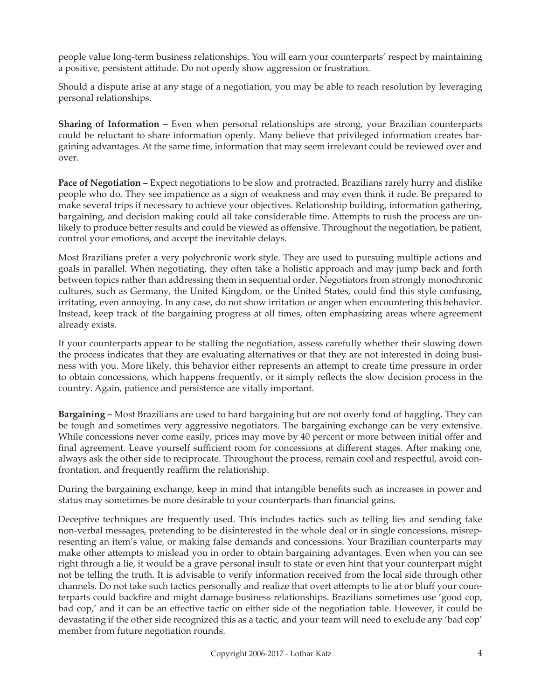people value long-term business relationships. You will earn your counterparts' respect by maintaining a positive, persistent attitude. Do not openly show aggression or frustration.

Should a dispute arise at any stage of a negotiation, you may be able to reach resolution by leveraging personal relationships.

**Sharing of Information –** Even when personal relationships are strong, your Brazilian counterparts could be reluctant to share information openly. Many believe that privileged information creates bargaining advantages. At the same time, information that may seem irrelevant could be reviewed over and over.

**Pace of Negotiation –** Expect negotiations to be slow and protracted. Brazilians rarely hurry and dislike people who do. They see impatience as a sign of weakness and may even think it rude. Be prepared to make several trips if necessary to achieve your objectives. Relationship building, information gathering, bargaining, and decision making could all take considerable time. Attempts to rush the process are unlikely to produce better results and could be viewed as offensive. Throughout the negotiation, be patient, control your emotions, and accept the inevitable delays.

Most Brazilians prefer a very polychronic work style. They are used to pursuing multiple actions and goals in parallel. When negotiating, they often take a holistic approach and may jump back and forth between topics rather than addressing them in sequential order. Negotiators from strongly monochronic cultures, such as Germany, the United Kingdom, or the United States, could find this style confusing, irritating, even annoying. In any case, do not show irritation or anger when encountering this behavior. Instead, keep track of the bargaining progress at all times, often emphasizing areas where agreement already exists.

If your counterparts appear to be stalling the negotiation, assess carefully whether their slowing down the process indicates that they are evaluating alternatives or that they are not interested in doing business with you. More likely, this behavior either represents an attempt to create time pressure in order to obtain concessions, which happens frequently, or it simply reflects the slow decision process in the country. Again, patience and persistence are vitally important.

**Bargaining –** Most Brazilians are used to hard bargaining but are not overly fond of haggling. They can be tough and sometimes very aggressive negotiators. The bargaining exchange can be very extensive. While concessions never come easily, prices may move by 40 percent or more between initial offer and final agreement. Leave yourself sufficient room for concessions at different stages. After making one, always ask the other side to reciprocate. Throughout the process, remain cool and respectful, avoid confrontation, and frequently reaffirm the relationship.

During the bargaining exchange, keep in mind that intangible benefits such as increases in power and status may sometimes be more desirable to your counterparts than financial gains.

Deceptive techniques are frequently used. This includes tactics such as telling lies and sending fake non-verbal messages, pretending to be disinterested in the whole deal or in single concessions, misrepresenting an item's value, or making false demands and concessions. Your Brazilian counterparts may make other attempts to mislead you in order to obtain bargaining advantages. Even when you can see right through a lie, it would be a grave personal insult to state or even hint that your counterpart might not be telling the truth. It is advisable to verify information received from the local side through other channels. Do not take such tactics personally and realize that overt attempts to lie at or bluff your counterparts could backfire and might damage business relationships. Brazilians sometimes use 'good cop, bad cop,' and it can be an effective tactic on either side of the negotiation table. However, it could be devastating if the other side recognized this as a tactic, and your team will need to exclude any 'bad cop' member from future negotiation rounds.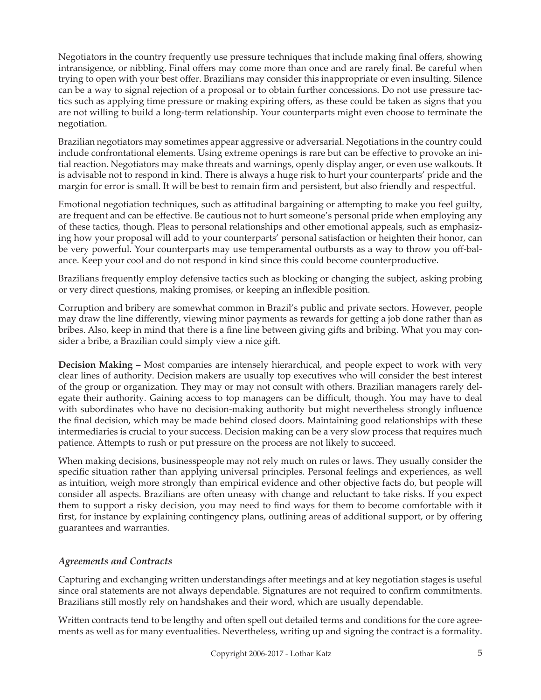Negotiators in the country frequently use pressure techniques that include making final offers, showing intransigence, or nibbling. Final offers may come more than once and are rarely final. Be careful when trying to open with your best offer. Brazilians may consider this inappropriate or even insulting. Silence can be a way to signal rejection of a proposal or to obtain further concessions. Do not use pressure tactics such as applying time pressure or making expiring offers, as these could be taken as signs that you are not willing to build a long-term relationship. Your counterparts might even choose to terminate the negotiation.

Brazilian negotiators may sometimes appear aggressive or adversarial. Negotiations in the country could include confrontational elements. Using extreme openings is rare but can be effective to provoke an initial reaction. Negotiators may make threats and warnings, openly display anger, or even use walkouts. It is advisable not to respond in kind. There is always a huge risk to hurt your counterparts' pride and the margin for error is small. It will be best to remain firm and persistent, but also friendly and respectful.

Emotional negotiation techniques, such as attitudinal bargaining or attempting to make you feel guilty, are frequent and can be effective. Be cautious not to hurt someone's personal pride when employing any of these tactics, though. Pleas to personal relationships and other emotional appeals, such as emphasizing how your proposal will add to your counterparts' personal satisfaction or heighten their honor, can be very powerful. Your counterparts may use temperamental outbursts as a way to throw you off-balance. Keep your cool and do not respond in kind since this could become counterproductive.

Brazilians frequently employ defensive tactics such as blocking or changing the subject, asking probing or very direct questions, making promises, or keeping an inflexible position.

Corruption and bribery are somewhat common in Brazil's public and private sectors. However, people may draw the line differently, viewing minor payments as rewards for getting a job done rather than as bribes. Also, keep in mind that there is a fine line between giving gifts and bribing. What you may consider a bribe, a Brazilian could simply view a nice gift.

**Decision Making –** Most companies are intensely hierarchical, and people expect to work with very clear lines of authority. Decision makers are usually top executives who will consider the best interest of the group or organization. They may or may not consult with others. Brazilian managers rarely delegate their authority. Gaining access to top managers can be difficult, though. You may have to deal with subordinates who have no decision-making authority but might nevertheless strongly influence the final decision, which may be made behind closed doors. Maintaining good relationships with these intermediaries is crucial to your success. Decision making can be a very slow process that requires much patience. Attempts to rush or put pressure on the process are not likely to succeed.

When making decisions, businesspeople may not rely much on rules or laws. They usually consider the specific situation rather than applying universal principles. Personal feelings and experiences, as well as intuition, weigh more strongly than empirical evidence and other objective facts do, but people will consider all aspects. Brazilians are often uneasy with change and reluctant to take risks. If you expect them to support a risky decision, you may need to find ways for them to become comfortable with it first, for instance by explaining contingency plans, outlining areas of additional support, or by offering guarantees and warranties.

## *Agreements and Contracts*

Capturing and exchanging written understandings after meetings and at key negotiation stages is useful since oral statements are not always dependable. Signatures are not required to confirm commitments. Brazilians still mostly rely on handshakes and their word, which are usually dependable.

Written contracts tend to be lengthy and often spell out detailed terms and conditions for the core agreements as well as for many eventualities. Nevertheless, writing up and signing the contract is a formality.